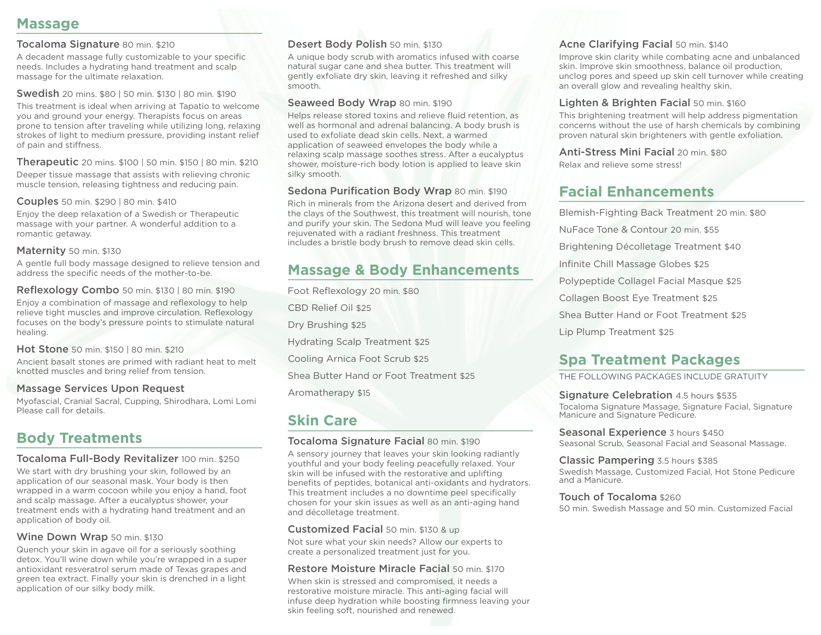## **Massage**

### Tocaloma Signature 80 min. \$210

A decadent massage fully customizable to your specific needs. Includes a hydrating hand treatment and scalp massage for the ultimate relaxation.

Swedish 20 mins. \$80 | 50 min. \$130 | 80 min. \$190

This treatment is ideal when arriving at Tapatio to welcome you and ground your energy. Therapists focus on areas prone to tension after traveling while utilizing long, relaxing strokes of light to medium pressure, providing instant relief of pain and stiffness.

Therapeutic 20 mins. \$100 | 50 min. \$150 | 80 min. \$210

Deeper tissue massage that assists with relieving chronic muscle tension, releasing tightness and reducing pain.

Couples 50 min. \$290 | 80 min. \$410

Enjoy the deep relaxation of a Swedish or Therapeutic massage with your partner. A wonderful addition to a romantic getaway.

### Maternity 50 min. \$130

A gentle full body massage designed to relieve tension and address the specific needs of the mother-to-be.

### Reflexology Combo 50 min. \$130 | 80 min. \$190

Enjoy a combination of massage and reflexology to help relieve tight muscles and improve circulation. Reflexology focuses on the body's pressure points to stimulate natural healing.

Hot Stone 50 min. \$150 | 80 min. \$210 Ancient basalt stones are primed with radiant heat to melt knotted muscles and bring relief from tension.

## Massage Services Upon Request

Myofascial, Cranial Sacral, Cupping, Shirodhara, Lomi Lomi Please call for details.

# **Body Treatments**

## Tocaloma Full-Body Revitalizer 100 min. \$250

We start with dry brushing your skin, followed by an application of our seasonal mask. Your body is then wrapped in a warm cocoon while you enjoy a hand, foot and scalp massage. After a eucalyptus shower, your treatment ends with a hydrating hand treatment and an application of body oil.

## Wine Down Wrap 50 min. \$130

Quench your skin in agave oil for a seriously soothing detox. You'll wine down while you're wrapped in a super antioxidant resveratrol serum made of Texas grapes and green tea extract. Finally your skin is drenched in a light application of our silky body milk.

## Desert Body Polish 50 min. \$130

A unique body scrub with aromatics infused with coarse natural sugar cane and shea butter. This treatment will gently exfoliate dry skin, leaving it refreshed and silky smooth.

### Seaweed Body Wrap 80 min. \$190

Helps release stored toxins and relieve fluid retention, as well as hormonal and adrenal balancing. A body brush is used to exfoliate dead skin cells. Next, a warmed application of seaweed envelopes the body while a relaxing scalp massage soothes stress. After a eucalyptus shower, moisture-rich body lotion is applied to leave skin silky smooth.

## Sedona Purification Body Wrap 80 min. \$190

Rich in minerals from the Arizona desert and derived from the clays of the Southwest, this treatment will nourish, tone and purify your skin. The Sedona Mud will leave you feeling rejuvenated with a radiant freshness. This treatment includes a bristle body brush to remove dead skin cells.

# **Massage & Body Enhancements**

Foot Reflexology 20 min. \$80 CBD Relief Oil \$25 Dry Brushing \$25 Hydrating Scalp Treatment \$25 Cooling Arnica Foot Scrub \$25 Shea Butter Hand or Foot Treatment \$25 Aromatherapy \$15

# **Skin Care**

## Tocaloma Signature Facial 80 min. \$190

A sensory journey that leaves your skin looking radiantly youthful and your body feeling peacefully relaxed. Your skin will be infused with the restorative and uplifting benefits of peptides, botanical anti-oxidants and hydrators. This treatment includes a no downtime peel specifically chosen for your skin issues as well as an anti-aging hand and décolletage treatment.

### Customized Facial 50 min. \$130 & up

Not sure what your skin needs? Allow our experts to create a personalized treatment just for you.

## Restore Moisture Miracle Facial 50 min. \$170

When skin is stressed and compromised, it needs a restorative moisture miracle. This anti-aging facial will infuse deep hydration while boosting firmness leaving your skin feeling soft, nourished and renewed.

## Acne Clarifying Facial 50 min. \$140

Improve skin clarity while combating acne and unbalanced skin. Improve skin smoothness, balance oil production, unclog pores and speed up skin cell turnover while creating an overall glow and revealing healthy skin.

### Lighten & Brighten Facial 50 min. \$160

This brightening treatment will help address pigmentation concerns without the use of harsh chemicals by combining proven natural skin brighteners with gentle exfoliation.

Anti-Stress Mini Facial 20 min. \$80

Relax and relieve some stress!

# **Facial Enhancements**

Blemish-Fighting Back Treatment 20 min. \$80 NuFace Tone & Contour 20 min. \$55 Brightening Décolletage Treatment \$40 Infinite Chill Massage Globes \$25 Polypeptide Collagel Facial Masque \$25 Collagen Boost Eye Treatment \$25 Shea Butter Hand or Foot Treatment \$25 Lip Plump Treatment \$25

# **Spa Treatment Packages**

THE FOLLOWING PACKAGES INCLUDE GRATUITY

Signature Celebration 4.5 hours \$535 Tocaloma Signature Massage, Signature Facial, Signature Manicure and Signature Pedicure.

Seasonal Experience 3 hours \$450 Seasonal Scrub, Seasonal Facial and Seasonal Massage.

Classic Pampering 3.5 hours \$385 Swedish Massage, Customized Facial, Hot Stone Pedicure and a Manicure.

### Touch of Tocaloma \$260

50 min. Swedish Massage and 50 min. Customized Facial